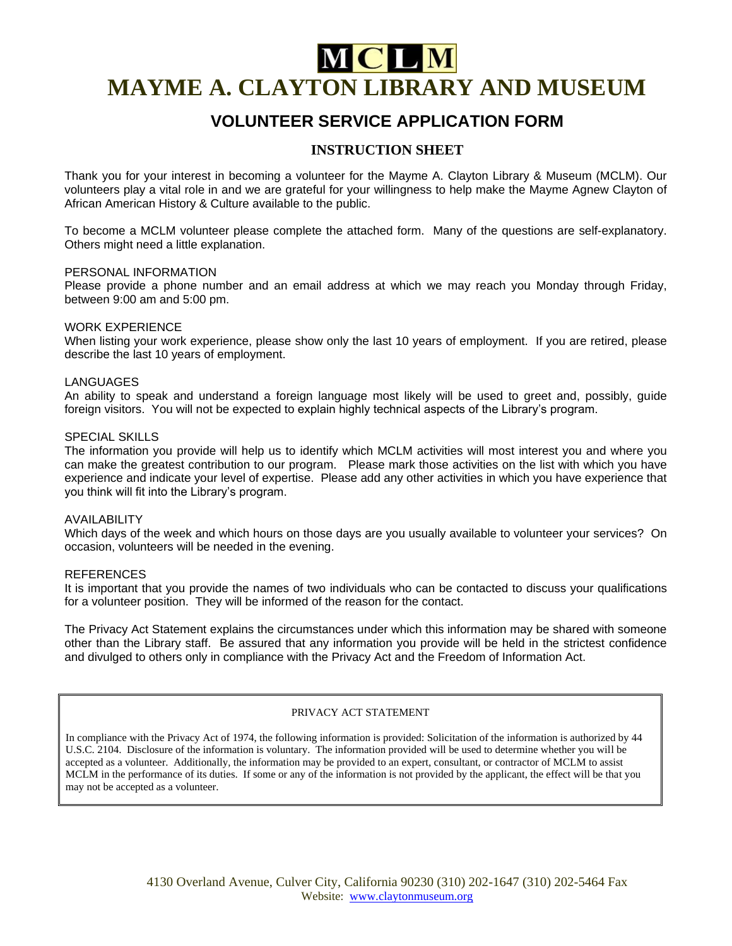# MCLM **MAYME A. CLAYTON LIBRARY AND MUSEUM**

## **VOLUNTEER SERVICE APPLICATION FORM**

### **INSTRUCTION SHEET**

Thank you for your interest in becoming a volunteer for the Mayme A. Clayton Library & Museum (MCLM). Our volunteers play a vital role in and we are grateful for your willingness to help make the Mayme Agnew Clayton of African American History & Culture available to the public.

To become a MCLM volunteer please complete the attached form. Many of the questions are self-explanatory. Others might need a little explanation.

#### PERSONAL INFORMATION

Please provide a phone number and an email address at which we may reach you Monday through Friday, between 9:00 am and 5:00 pm.

#### WORK EXPERIENCE

When listing your work experience, please show only the last 10 years of employment. If you are retired, please describe the last 10 years of employment.

#### LANGUAGES

An ability to speak and understand a foreign language most likely will be used to greet and, possibly, guide foreign visitors. You will not be expected to explain highly technical aspects of the Library's program.

#### SPECIAL SKILLS

The information you provide will help us to identify which MCLM activities will most interest you and where you can make the greatest contribution to our program. Please mark those activities on the list with which you have experience and indicate your level of expertise. Please add any other activities in which you have experience that you think will fit into the Library's program.

#### AVAILABILITY

Which days of the week and which hours on those days are you usually available to volunteer your services? On occasion, volunteers will be needed in the evening.

#### **REFERENCES**

It is important that you provide the names of two individuals who can be contacted to discuss your qualifications for a volunteer position. They will be informed of the reason for the contact.

The Privacy Act Statement explains the circumstances under which this information may be shared with someone other than the Library staff. Be assured that any information you provide will be held in the strictest confidence and divulged to others only in compliance with the Privacy Act and the Freedom of Information Act.

#### PRIVACY ACT STATEMENT

In compliance with the Privacy Act of 1974, the following information is provided: Solicitation of the information is authorized by 44 U.S.C. 2104. Disclosure of the information is voluntary. The information provided will be used to determine whether you will be accepted as a volunteer. Additionally, the information may be provided to an expert, consultant, or contractor of MCLM to assist MCLM in the performance of its duties. If some or any of the information is not provided by the applicant, the effect will be that you may not be accepted as a volunteer.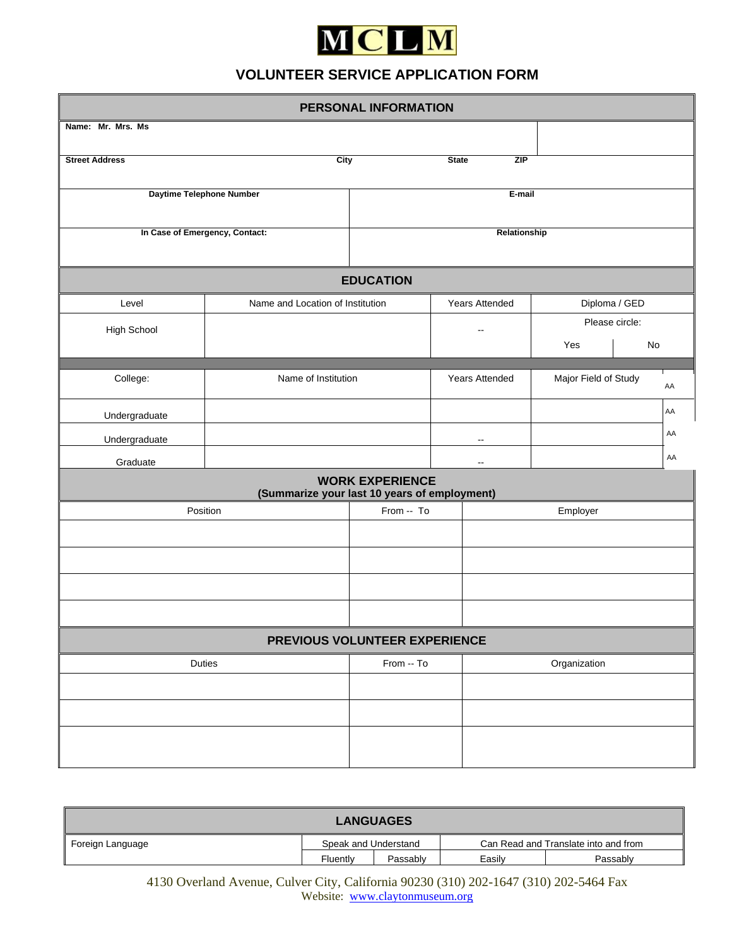

## **VOLUNTEER SERVICE APPLICATION FORM**

| <b>PERSONAL INFORMATION</b>          |                                              |                        |                          |                          |                      |                |    |  |  |  |  |
|--------------------------------------|----------------------------------------------|------------------------|--------------------------|--------------------------|----------------------|----------------|----|--|--|--|--|
| Name: Mr. Mrs. Ms                    |                                              |                        |                          |                          |                      |                |    |  |  |  |  |
| <b>Street Address</b>                | City                                         | <b>State</b>           | ZIP                      |                          |                      |                |    |  |  |  |  |
|                                      |                                              |                        |                          |                          |                      |                |    |  |  |  |  |
| Daytime Telephone Number             | E-mail                                       |                        |                          |                          |                      |                |    |  |  |  |  |
| In Case of Emergency, Contact:       | Relationship                                 |                        |                          |                          |                      |                |    |  |  |  |  |
|                                      |                                              |                        |                          |                          |                      |                |    |  |  |  |  |
| <b>EDUCATION</b>                     |                                              |                        |                          |                          |                      |                |    |  |  |  |  |
| Level                                | Name and Location of Institution             |                        | Years Attended           | Diploma / GED            |                      |                |    |  |  |  |  |
| High School                          |                                              |                        | $\overline{\phantom{a}}$ |                          |                      | Please circle: |    |  |  |  |  |
|                                      |                                              |                        |                          |                          | Yes                  | No             |    |  |  |  |  |
| College:                             | Name of Institution                          |                        |                          | Years Attended           | Major Field of Study |                | AA |  |  |  |  |
|                                      |                                              |                        |                          |                          |                      |                | AA |  |  |  |  |
| Undergraduate                        |                                              |                        |                          |                          |                      |                | AA |  |  |  |  |
| Undergraduate                        |                                              |                        |                          | $\overline{\phantom{a}}$ |                      |                |    |  |  |  |  |
| Graduate                             |                                              | <b>WORK EXPERIENCE</b> |                          | $\overline{\phantom{a}}$ |                      |                | AA |  |  |  |  |
|                                      | (Summarize your last 10 years of employment) |                        |                          |                          |                      |                |    |  |  |  |  |
| Position                             | From -- To                                   |                        |                          | Employer                 |                      |                |    |  |  |  |  |
|                                      |                                              |                        |                          |                          |                      |                |    |  |  |  |  |
|                                      |                                              |                        |                          |                          |                      |                |    |  |  |  |  |
|                                      |                                              |                        |                          |                          |                      |                |    |  |  |  |  |
|                                      |                                              |                        |                          |                          |                      |                |    |  |  |  |  |
| PREVIOUS VOLUNTEER EXPERIENCE        |                                              |                        |                          |                          |                      |                |    |  |  |  |  |
| Duties<br>From -- To<br>Organization |                                              |                        |                          |                          |                      |                |    |  |  |  |  |
|                                      |                                              |                        |                          |                          |                      |                |    |  |  |  |  |
|                                      |                                              |                        |                          |                          |                      |                |    |  |  |  |  |
|                                      |                                              |                        |                          |                          |                      |                |    |  |  |  |  |
|                                      |                                              |                        |                          |                          |                      |                |    |  |  |  |  |
|                                      |                                              |                        |                          |                          |                      |                |    |  |  |  |  |

| <b>LANGUAGES</b> |                      |          |                                      |          |  |  |  |  |  |
|------------------|----------------------|----------|--------------------------------------|----------|--|--|--|--|--|
| Foreign Language | Speak and Understand |          | Can Read and Translate into and from |          |  |  |  |  |  |
|                  | Fluently             | Passably | Easilv                               | Passably |  |  |  |  |  |

4130 Overland Avenue, Culver City, California 90230 (310) 202-1647 (310) 202-5464 Fax Website: [www.claytonmuseum.org](http://www.claytonmuseum.org/)